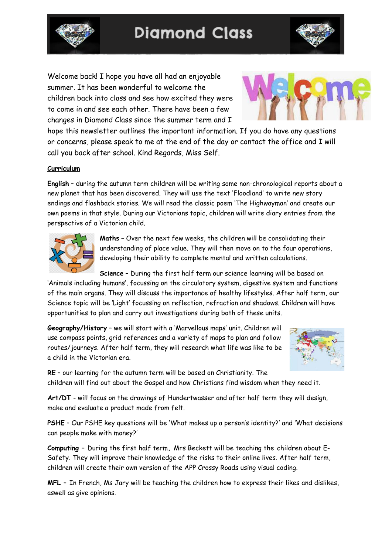

**Diamond Class** 



Welcome back! I hope you have all had an enjoyable summer. It has been wonderful to welcome the children back into class and see how excited they were to come in and see each other. There have been a few changes in Diamond Class since the summer term and I



hope this newsletter outlines the important information. If you do have any questions or concerns, please speak to me at the end of the day or contact the office and I will call you back after school. Kind Regards, Miss Self.

## **Curriculum**

**English** – during the autumn term children will be writing some non-chronological reports about a new planet that has been discovered. They will use the text 'Floodland' to write new story endings and flashback stories. We will read the classic poem 'The Highwayman' and create our own poems in that style. During our Victorians topic, children will write diary entries from the perspective of a Victorian child.



**Maths** – Over the next few weeks, the children will be consolidating their understanding of place value. They will then move on to the four operations, developing their ability to complete mental and written calculations.

**Science** – During the first half term our science learning will be based on

'Animals including humans', focussing on the circulatory system, digestive system and functions of the main organs. They will discuss the importance of healthy lifestyles. After half term, our Science topic will be 'Light' focussing on reflection, refraction and shadows. Children will have opportunities to plan and carry out investigations during both of these units.

**Geography/History** – we will start with a 'Marvellous maps' unit. Children will use compass points, grid references and a variety of maps to plan and follow routes/journeys. After half term, they will research what life was like to be a child in the Victorian era.



**RE** – our learning for the autumn term will be based on Christianity. The children will find out about the Gospel and how Christians find wisdom when they need it.

**Art/DT** - will focus on the drawings of Hundertwasser and after half term they will design, make and evaluate a product made from felt.

**PSHE** – Our PSHE key questions will be 'What makes up a person's identity?' and 'What decisions can people make with money?'

**Computing –** During the first half term**,** Mrs Beckett will be teaching the children about E-Safety. They will improve their knowledge of the risks to their online lives. After half term, children will create their own version of the APP Crossy Roads using visual coding.

**MFL –** In French, Ms Jary will be teaching the children how to express their likes and dislikes, aswell as give opinions.